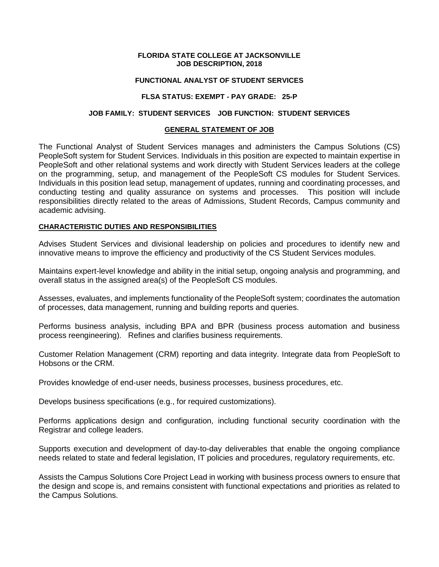### **FLORIDA STATE COLLEGE AT JACKSONVILLE JOB DESCRIPTION, 2018**

### **FUNCTIONAL ANALYST OF STUDENT SERVICES**

### **FLSA STATUS: EXEMPT - PAY GRADE: 25-P**

### **JOB FAMILY: STUDENT SERVICES JOB FUNCTION: STUDENT SERVICES**

### **GENERAL STATEMENT OF JOB**

The Functional Analyst of Student Services manages and administers the Campus Solutions (CS) PeopleSoft system for Student Services. Individuals in this position are expected to maintain expertise in PeopleSoft and other relational systems and work directly with Student Services leaders at the college on the programming, setup, and management of the PeopleSoft CS modules for Student Services. Individuals in this position lead setup, management of updates, running and coordinating processes, and conducting testing and quality assurance on systems and processes. This position will include responsibilities directly related to the areas of Admissions, Student Records, Campus community and academic advising.

### **CHARACTERISTIC DUTIES AND RESPONSIBILITIES**

Advises Student Services and divisional leadership on policies and procedures to identify new and innovative means to improve the efficiency and productivity of the CS Student Services modules.

Maintains expert-level knowledge and ability in the initial setup, ongoing analysis and programming, and overall status in the assigned area(s) of the PeopleSoft CS modules.

Assesses, evaluates, and implements functionality of the PeopleSoft system; coordinates the automation of processes, data management, running and building reports and queries.

Performs business analysis, including BPA and BPR (business process automation and business process reengineering). Refines and clarifies business requirements.

Customer Relation Management (CRM) reporting and data integrity. Integrate data from PeopleSoft to Hobsons or the CRM.

Provides knowledge of end-user needs, business processes, business procedures, etc.

Develops business specifications (e.g., for required customizations).

Performs applications design and configuration, including functional security coordination with the Registrar and college leaders.

Supports execution and development of day-to-day deliverables that enable the ongoing compliance needs related to state and federal legislation, IT policies and procedures, regulatory requirements, etc.

Assists the Campus Solutions Core Project Lead in working with business process owners to ensure that the design and scope is, and remains consistent with functional expectations and priorities as related to the Campus Solutions.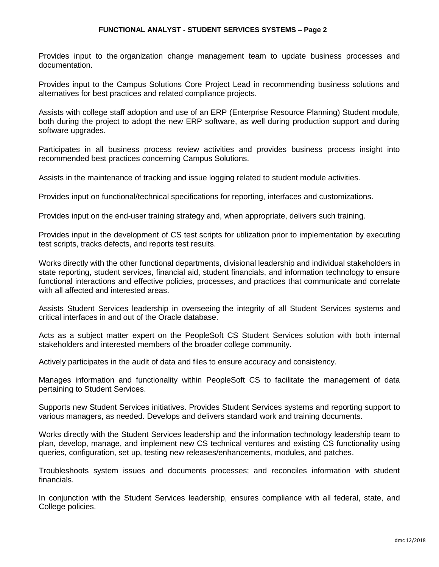### **FUNCTIONAL ANALYST - STUDENT SERVICES SYSTEMS – Page 2**

Provides input to the organization change management team to update business processes and documentation.

Provides input to the Campus Solutions Core Project Lead in recommending business solutions and alternatives for best practices and related compliance projects.

Assists with college staff adoption and use of an ERP (Enterprise Resource Planning) Student module, both during the project to adopt the new ERP software, as well during production support and during software upgrades.

Participates in all business process review activities and provides business process insight into recommended best practices concerning Campus Solutions.

Assists in the maintenance of tracking and issue logging related to student module activities.

Provides input on functional/technical specifications for reporting, interfaces and customizations.

Provides input on the end-user training strategy and, when appropriate, delivers such training.

Provides input in the development of CS test scripts for utilization prior to implementation by executing test scripts, tracks defects, and reports test results.

Works directly with the other functional departments, divisional leadership and individual stakeholders in state reporting, student services, financial aid, student financials, and information technology to ensure functional interactions and effective policies, processes, and practices that communicate and correlate with all affected and interested areas.

Assists Student Services leadership in overseeing the integrity of all Student Services systems and critical interfaces in and out of the Oracle database.

Acts as a subject matter expert on the PeopleSoft CS Student Services solution with both internal stakeholders and interested members of the broader college community.

Actively participates in the audit of data and files to ensure accuracy and consistency.

Manages information and functionality within PeopleSoft CS to facilitate the management of data pertaining to Student Services.

Supports new Student Services initiatives. Provides Student Services systems and reporting support to various managers, as needed. Develops and delivers standard work and training documents.

Works directly with the Student Services leadership and the information technology leadership team to plan, develop, manage, and implement new CS technical ventures and existing CS functionality using queries, configuration, set up, testing new releases/enhancements, modules, and patches.

Troubleshoots system issues and documents processes; and reconciles information with student financials.

In conjunction with the Student Services leadership, ensures compliance with all federal, state, and College policies.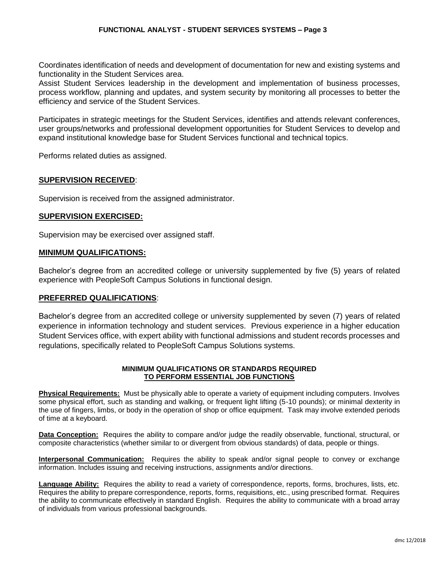Coordinates identification of needs and development of documentation for new and existing systems and functionality in the Student Services area.

Assist Student Services leadership in the development and implementation of business processes, process workflow, planning and updates, and system security by monitoring all processes to better the efficiency and service of the Student Services.

Participates in strategic meetings for the Student Services, identifies and attends relevant conferences, user groups/networks and professional development opportunities for Student Services to develop and expand institutional knowledge base for Student Services functional and technical topics.

Performs related duties as assigned.

# **SUPERVISION RECEIVED**:

Supervision is received from the assigned administrator.

# **SUPERVISION EXERCISED:**

Supervision may be exercised over assigned staff.

# **MINIMUM QUALIFICATIONS:**

Bachelor's degree from an accredited college or university supplemented by five (5) years of related experience with PeopleSoft Campus Solutions in functional design.

# **PREFERRED QUALIFICATIONS**:

Bachelor's degree from an accredited college or university supplemented by seven (7) years of related experience in information technology and student services. Previous experience in a higher education Student Services office, with expert ability with functional admissions and student records processes and regulations, specifically related to PeopleSoft Campus Solutions systems.

### **MINIMUM QUALIFICATIONS OR STANDARDS REQUIRED TO PERFORM ESSENTIAL JOB FUNCTIONS**

**Physical Requirements:** Must be physically able to operate a variety of equipment including computers. Involves some physical effort, such as standing and walking, or frequent light lifting (5-10 pounds); or minimal dexterity in the use of fingers, limbs, or body in the operation of shop or office equipment. Task may involve extended periods of time at a keyboard.

**Data Conception:** Requires the ability to compare and/or judge the readily observable, functional, structural, or composite characteristics (whether similar to or divergent from obvious standards) of data, people or things.

**Interpersonal Communication:** Requires the ability to speak and/or signal people to convey or exchange information. Includes issuing and receiving instructions, assignments and/or directions.

**Language Ability:** Requires the ability to read a variety of correspondence, reports, forms, brochures, lists, etc. Requires the ability to prepare correspondence, reports, forms, requisitions, etc., using prescribed format. Requires the ability to communicate effectively in standard English. Requires the ability to communicate with a broad array of individuals from various professional backgrounds.